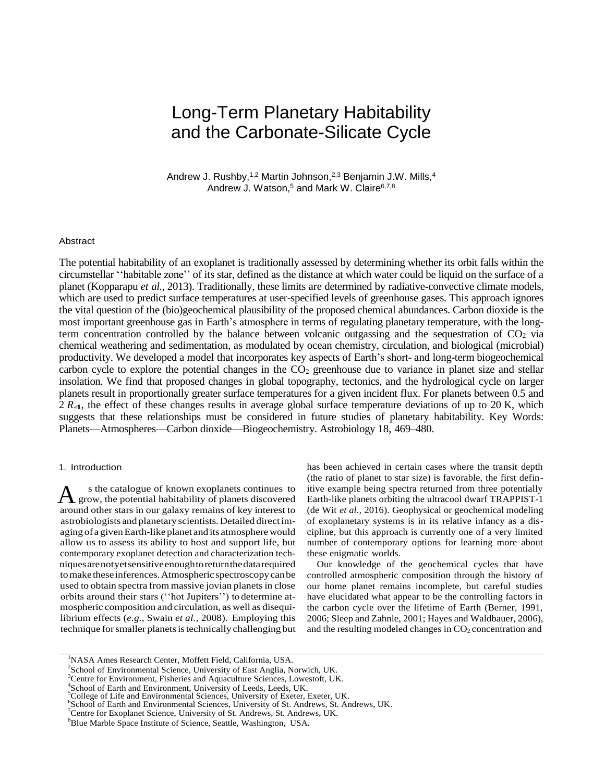# Long-Term Planetary Habitability and the Carbonate-Silicate Cycle

Andrew J. Rushby,<sup>1,2</sup> Martin Johnson,<sup>2,3</sup> Benjamin J.W. Mills,<sup>4</sup> Andrew J. Watson,<sup>5</sup> and Mark W. Claire<sup>6,7,8</sup>

#### Abstract

The potential habitability of an exoplanet is traditionally assessed by determining whether its orbit falls within the circumstellar ''habitable zone'' of its star, defined as the distance at which water could be liquid on the surface of a planet (Kopparapu *et al.,* 2013). Traditionally, these limits are determined by radiative-convective climate models, which are used to predict surface temperatures at user-specified levels of greenhouse gases. This approach ignores the vital question of the (bio)geochemical plausibility of the proposed chemical abundances. Carbon dioxide is the most important greenhouse gas in Earth's atmosphere in terms of regulating planetary temperature, with the longterm concentration controlled by the balance between volcanic outgassing and the sequestration of  $CO<sub>2</sub>$  via chemical weathering and sedimentation, as modulated by ocean chemistry, circulation, and biological (microbial) productivity. We developed a model that incorporates key aspects of Earth's short- and long-term biogeochemical carbon cycle to explore the potential changes in the  $CO<sub>2</sub>$  greenhouse due to variance in planet size and stellar insolation. We find that proposed changes in global topography, tectonics, and the hydrological cycle on larger planets result in proportionally greater surface temperatures for a given incident flux. For planets between 0.5 and 2 *R*<sub>4</sub>, the effect of these changes results in average global surface temperature deviations of up to 20 K, which suggests that these relationships must be considered in future studies of planetary habitability. Key Words: Planets—Atmospheres—Carbon dioxide—Biogeochemistry. Astrobiology 18, 469–480.

# 1. Introduction

 $A$  is the catalogue of known exoplanets continues to grow, the potential habitability of planets discovered s the catalogue of known exoplanets continues to around other stars in our galaxy remains of key interest to astrobiologists and planetary scientists.Detailed directimaging of a given Earth-like planet and its atmosphere would allow us to assess its ability to host and support life, but contemporary exoplanet detection and characterization techniquesarenotyetsensitiveenoughtoreturnthedatarequired tomake these inferences.Atmospheric spectroscopycanbe used to obtain spectra from massive jovian planets in close orbits around their stars (''hot Jupiters'') to determine atmospheric composition and circulation, as well as disequilibrium effects (*e.g.,* Swain *et al.,* 2008). Employing this technique for smaller planets is technically challenging but has been achieved in certain cases where the transit depth (the ratio of planet to star size) is favorable, the first definitive example being spectra returned from three potentially Earth-like planets orbiting the ultracool dwarf TRAPPIST-1 (de Wit *et al.,* 2016). Geophysical or geochemical modeling of exoplanetary systems is in its relative infancy as a discipline, but this approach is currently one of a very limited number of contemporary options for learning more about these enigmatic worlds.

Our knowledge of the geochemical cycles that have controlled atmospheric composition through the history of our home planet remains incomplete, but careful studies have elucidated what appear to be the controlling factors in the carbon cycle over the lifetime of Earth (Berner, 1991, 2006; Sleep and Zahnle, 2001; Hayes and Waldbauer, 2006), and the resulting modeled changes in  $CO<sub>2</sub>$  concentration and

<sup>&</sup>lt;sup>1</sup>NASA Ames Research Center, Moffett Field, California, USA.

<sup>&</sup>lt;sup>2</sup>School of Environmental Science, University of East Anglia, Norwich, UK.

<sup>&</sup>lt;sup>3</sup>Centre for Environment, Fisheries and Aquaculture Sciences, Lowestoft, UK.

<sup>4</sup> School of Earth and Environment, University of Leeds, Leeds, UK. <sup>5</sup>College of Life and Environmental Sciences, University of Exeter, Exeter, UK.

<sup>&</sup>lt;sup>6</sup>School of Earth and Environmental Sciences, University of St. Andrews, St. Andrews, UK.<br><sup>7</sup>Centre for Exoplanet Science, University of St. Andrews, St. Andrews, UK.

<sup>&</sup>lt;sup>8</sup>Blue Marble Space Institute of Science, Seattle, Washington, USA.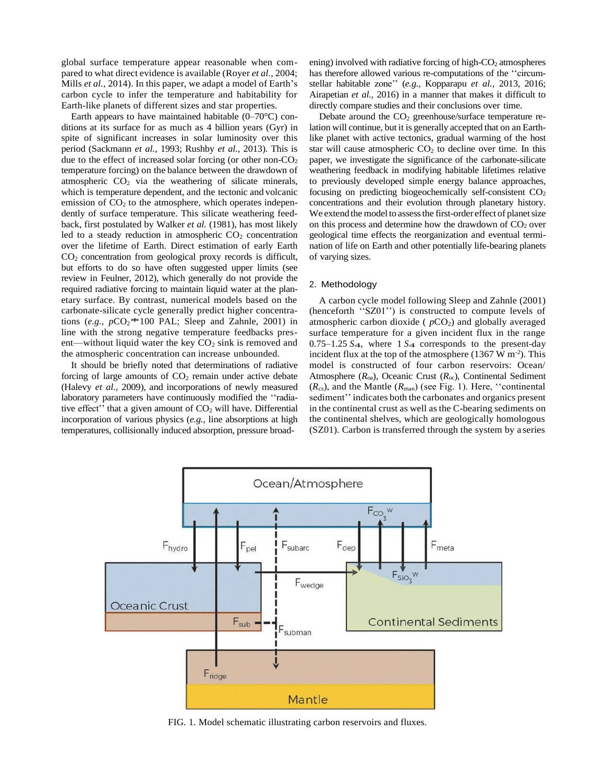global surface temperature appear reasonable when compared to what direct evidence is available (Royer *et al.,* 2004; Mills *et al.,* 2014). In this paper, we adapt a model of Earth's carbon cycle to infer the temperature and habitability for Earth-like planets of different sizes and star properties.

Earth appears to have maintained habitable (0–70°C) conditions at its surface for as much as 4 billion years (Gyr) in spite of significant increases in solar luminosity over this period (Sackmann *et al.,* 1993; Rushby *et al.,* 2013). This is due to the effect of increased solar forcing (or other non-CO<sub>2</sub> temperature forcing) on the balance between the drawdown of atmospheric  $CO<sub>2</sub>$  via the weathering of silicate minerals, which is temperature dependent, and the tectonic and volcanic emission of  $CO<sub>2</sub>$  to the atmosphere, which operates independently of surface temperature. This silicate weathering feedback, first postulated by Walker *et al.* (1981), has most likely led to a steady reduction in atmospheric  $CO<sub>2</sub>$  concentration over the lifetime of Earth. Direct estimation of early Earth CO<sup>2</sup> concentration from geological proxy records is difficult, but efforts to do so have often suggested upper limits (see review in Feulner, 2012), which generally do not provide the required radiative forcing to maintain liquid water at the planetary surface. By contrast, numerical models based on the carbonate-silicate cycle generally predict higher concentrations (*e.g.,*  $pCO_2$ <sup>\*</sup>100 PAL; Sleep and Zahnle, 2001) in line with the strong negative temperature feedbacks present—without liquid water the key  $CO<sub>2</sub>$  sink is removed and the atmospheric concentration can increase unbounded.

It should be briefly noted that determinations of radiative forcing of large amounts of  $CO<sub>2</sub>$  remain under active debate (Halevy *et al.,* 2009), and incorporations of newly measured laboratory parameters have continuously modified the ''radiative effect" that a given amount of  $CO<sub>2</sub>$  will have. Differential incorporation of various physics (*e.g.,* line absorptions at high temperatures, collisionally induced absorption, pressure broadening) involved with radiative forcing of high- $CO<sub>2</sub>$  atmospheres has therefore allowed various re-computations of the ''circumstellar habitable zone'' (*e.g.,* Kopparapu *et al.,* 2013, 2016; Airapetian *et al.,* 2016) in a manner that makes it difficult to directly compare studies and their conclusions over time.

Debate around the  $CO<sub>2</sub>$  greenhouse/surface temperature relation will continue, but it is generally accepted that on an Earthlike planet with active tectonics, gradual warming of the host star will cause atmospheric  $CO<sub>2</sub>$  to decline over time. In this paper, we investigate the significance of the carbonate-silicate weathering feedback in modifying habitable lifetimes relative to previously developed simple energy balance approaches, focusing on predicting biogeochemically self-consistent CO<sup>2</sup> concentrations and their evolution through planetary history. We extend the model to assess the first-order effect of planet size on this process and determine how the drawdown of  $CO<sub>2</sub>$  over geological time effects the reorganization and eventual termination of life on Earth and other potentially life-bearing planets of varying sizes.

## 2. Methodology

A carbon cycle model following Sleep and Zahnle (2001) (henceforth ''SZ01'') is constructed to compute levels of atmospheric carbon dioxide ( $pCO<sub>2</sub>$ ) and globally averaged surface temperature for a given incident flux in the range  $0.75-1.25 S<sub>4</sub>$ , where  $1 S<sub>4</sub>$  corresponds to the present-day incident flux at the top of the atmosphere  $(1367 \text{ W m}^{-2})$ . This model is constructed of four carbon reservoirs: Ocean/ Atmosphere ( $R_{oa}$ ), Oceanic Crust ( $R_{ox}$ ), Continental Sediment (*R*cs), and the Mantle (*R*man) (see Fig. 1). Here, ''continental sediment'' indicates both the carbonates and organics present in the continental crust as well as the C-bearing sediments on the continental shelves, which are geologically homologous (SZ01). Carbon is transferred through the system by a series



FIG. 1. Model schematic illustrating carbon reservoirs and fluxes.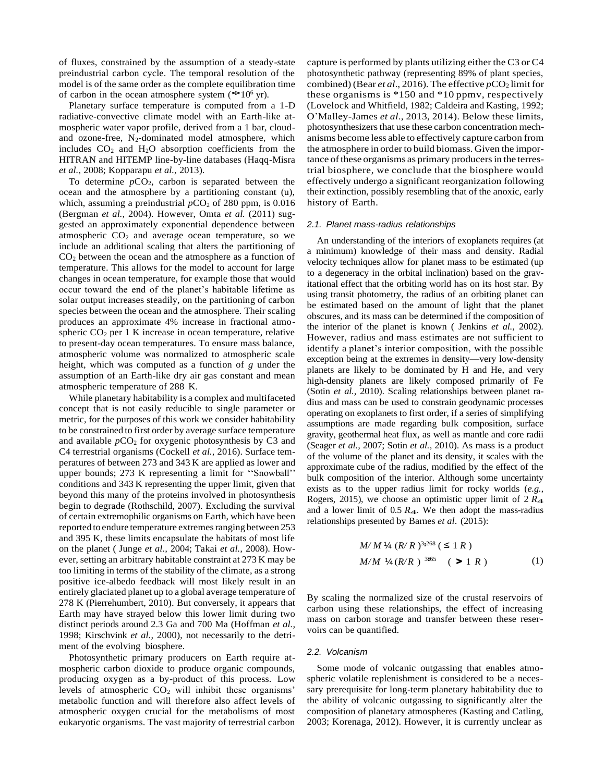of fluxes, constrained by the assumption of a steady-state preindustrial carbon cycle. The temporal resolution of the model is of the same order as the complete equilibration time model is of the same order as the complete equilibration<br>of carbon in the ocean atmosphere system ( $*10^6$  yr).

Planetary surface temperature is computed from a 1-D radiative-convective climate model with an Earth-like atmospheric water vapor profile, derived from a 1 bar, cloudand ozone-free,  $N_2$ -dominated model atmosphere, which includes  $CO<sub>2</sub>$  and  $H<sub>2</sub>O$  absorption coefficients from the HITRAN and HITEMP line-by-line databases (Haqq-Misra *et al.,* 2008; Kopparapu *et al.,* 2013).

To determine  $pCO<sub>2</sub>$ , carbon is separated between the ocean and the atmosphere by a partitioning constant (u), which, assuming a preindustrial  $pCO<sub>2</sub>$  of 280 ppm, is 0.016 (Bergman *et al.,* 2004). However, Omta *et al.* (2011) suggested an approximately exponential dependence between atmospheric  $CO<sub>2</sub>$  and average ocean temperature, so we include an additional scaling that alters the partitioning of  $CO<sub>2</sub>$  between the ocean and the atmosphere as a function of temperature. This allows for the model to account for large changes in ocean temperature, for example those that would occur toward the end of the planet's habitable lifetime as solar output increases steadily, on the partitioning of carbon species between the ocean and the atmosphere. Their scaling produces an approximate 4% increase in fractional atmospheric  $CO<sub>2</sub>$  per 1 K increase in ocean temperature, relative to present-day ocean temperatures. To ensure mass balance, atmospheric volume was normalized to atmospheric scale height, which was computed as a function of *g* under the assumption of an Earth-like dry air gas constant and mean atmospheric temperature of 288 K.

While planetary habitability is a complex and multifaceted concept that is not easily reducible to single parameter or metric, for the purposes of this work we consider habitability to be constrained to first order by average surface temperature and available  $pCO_2$  for oxygenic photosynthesis by C3 and C4 terrestrial organisms (Cockell *et al.,* 2016). Surface temperatures of between 273 and 343 K are applied as lower and upper bounds; 273 K representing a limit for ''Snowball'' conditions and 343 K representing the upper limit, given that beyond this many of the proteins involved in photosynthesis begin to degrade (Rothschild, 2007). Excluding the survival of certain extremophilic organisms on Earth, which have been reported to endure temperature extremes ranging between 253 and 395 K, these limits encapsulate the habitats of most life on the planet ( Junge *et al.,* 2004; Takai *et al.,* 2008). However, setting an arbitrary habitable constraint at 273 K may be too limiting in terms of the stability of the climate, as a strong positive ice-albedo feedback will most likely result in an entirely glaciated planet up to a global average temperature of 278 K (Pierrehumbert, 2010). But conversely, it appears that Earth may have strayed below this lower limit during two distinct periods around 2.3 Ga and 700 Ma (Hoffman *et al.,*  1998; Kirschvink *et al.,* 2000), not necessarily to the detriment of the evolving biosphere.

Photosynthetic primary producers on Earth require atmospheric carbon dioxide to produce organic compounds, producing oxygen as a by-product of this process. Low levels of atmospheric  $CO<sub>2</sub>$  will inhibit these organisms' metabolic function and will therefore also affect levels of atmospheric oxygen crucial for the metabolisms of most eukaryotic organisms. The vast majority of terrestrial carbon

capture is performed by plants utilizing either the C3 or C4 photosynthetic pathway (representing 89% of plant species, combined) (Bear *et al.*, 2016). The effective  $pCO<sub>2</sub>$  limit for these organisms is \*150 and \*10 ppmv, respectively (Lovelock and Whitfield, 1982; Caldeira and Kasting, 1992; O'Malley-James *et al*., 2013, 2014). Below these limits, photosynthesizers that use these carbon concentration mechanisms become less able to effectively capture carbon from the atmosphere in order to build biomass. Given the importance of these organisms as primary producers in the terrestrial biosphere, we conclude that the biosphere would effectively undergo a significant reorganization following their extinction, possibly resembling that of the anoxic, early history of Earth.

## *2.1. Planet mass-radius relationships*

An understanding of the interiors of exoplanets requires (at a minimum) knowledge of their mass and density. Radial velocity techniques allow for planet mass to be estimated (up to a degeneracy in the orbital inclination) based on the gravitational effect that the orbiting world has on its host star. By using transit photometry, the radius of an orbiting planet can be estimated based on the amount of light that the planet obscures, and its mass can be determined if the composition of the interior of the planet is known ( Jenkins *et al.,* 2002). However, radius and mass estimates are not sufficient to identify a planet's interior composition, with the possible exception being at the extremes in density—very low-density planets are likely to be dominated by H and He, and very high-density planets are likely composed primarily of Fe (Sotin *et al.,* 2010). Scaling relationships between planet radius and mass can be used to constrain geodynamic processes operating on exoplanets to first order, if a series of simplifying assumptions are made regarding bulk composition, surface gravity, geothermal heat flux, as well as mantle and core radii (Seager *et al.,* 2007; Sotin *et al.,* 2010). As mass is a product of the volume of the planet and its density, it scales with the approximate cube of the radius, modified by the effect of the bulk composition of the interior. Although some uncertainty exists as to the upper radius limit for rocky worlds (*e.g.,*  Rogers, 2015), we choose an optimistic upper limit of 2 *R*4 and a lower limit of  $0.5 R<sub>4</sub>$ . We then adopt the mass-radius relationships presented by Barnes *et al*. (2015):

$$
M/M \frac{1}{4} (R/R)^{3 \cdot 268} (\leq 1 R)
$$
  
M/M \frac{1}{4} (R/R)^{3 \cdot 65} (\geq 1 R) (1)

By scaling the normalized size of the crustal reservoirs of carbon using these relationships, the effect of increasing mass on carbon storage and transfer between these reservoirs can be quantified.

## *2.2. Volcanism*

Some mode of volcanic outgassing that enables atmospheric volatile replenishment is considered to be a necessary prerequisite for long-term planetary habitability due to the ability of volcanic outgassing to significantly alter the composition of planetary atmospheres (Kasting and Catling, 2003; Korenaga, 2012). However, it is currently unclear as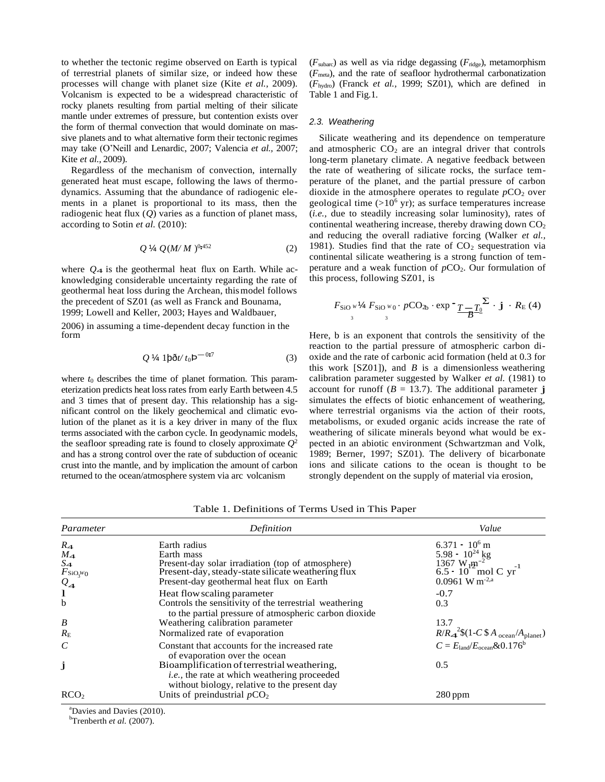to whether the tectonic regime observed on Earth is typical of terrestrial planets of similar size, or indeed how these processes will change with planet size (Kite *et al.,* 2009). Volcanism is expected to be a widespread characteristic of rocky planets resulting from partial melting of their silicate mantle under extremes of pressure, but contention exists over the form of thermal convection that would dominate on massive planets and to what alternative form their tectonic regimes may take (O'Neill and Lenardic, 2007; Valencia *et al.,* 2007; Kite *et al.,* 2009).

Regardless of the mechanism of convection, internally generated heat must escape, following the laws of thermodynamics. Assuming that the abundance of radiogenic elements in a planet is proportional to its mass, then the radiogenic heat flux (*Q*) varies as a function of planet mass, according to Sotin *et al.* (2010):

$$
Q^{\frac{1}{2}} Q \left( M / M \right)^{0.452} \tag{2}
$$

where  $Q_4$  is the geothermal heat flux on Earth. While acknowledging considerable uncertainty regarding the rate of geothermal heat loss during the Archean, thismodel follows the precedent of SZ01 (as well as Franck and Bounama, 1999; Lowell and Keller, 2003; Hayes and Waldbauer,

2006) in assuming a time-dependent decay function in the form

$$
Q \frac{1}{4} 1 \frac{\beta \delta t}{t_0} e^{-0.7}
$$
 (3)

where  $t_0$  describes the time of planet formation. This parameterization predicts heat lossrates from early Earth between 4.5 and 3 times that of present day. This relationship has a significant control on the likely geochemical and climatic evolution of the planet as it is a key driver in many of the flux terms associated with the carbon cycle. In geodynamic models, the seafloor spreading rate is found to closely approximate *Q* 2 and has a strong control over the rate of subduction of oceanic crust into the mantle, and by implication the amount of carbon returned to the ocean/atmosphere system via arc volcanism

 $(F<sub>subarc</sub>)$  as well as via ridge degassing  $(F<sub>ridge</sub>)$ , metamorphism (*F*meta), and the rate of seafloor hydrothermal carbonatization (*F*hydro) (Franck *et al.,* 1999; SZ01), which are defined in Table 1 and Fig.1.

### *2.3. Weathering*

Silicate weathering and its dependence on temperature and atmospheric  $CO<sub>2</sub>$  are an integral driver that controls long-term planetary climate. A negative feedback between the rate of weathering of silicate rocks, the surface temperature of the planet, and the partial pressure of carbon dioxide in the atmosphere operates to regulate  $pCO<sub>2</sub>$  over geological time  $(>10^6 \text{ yr})$ ; as surface temperatures increase (*i.e.,* due to steadily increasing solar luminosity), rates of continental weathering increase, thereby drawing down  $CO<sub>2</sub>$ and reducing the overall radiative forcing (Walker *et al.,*  1981). Studies find that the rate of  $CO<sub>2</sub>$  sequestration via continental silicate weathering is a strong function of temperature and a weak function of  $pCO<sub>2</sub>$ . Our formulation of this process, following SZ01, is

$$
F_{\text{SiO}} \cdot \frac{W}{4} F_{\text{SiO}} \cdot \frac{W_0}{2} \cdot \rho \cdot \exp \left[ \frac{T-T_0}{B} \cdot \mathbf{j} \cdot R_{\text{E}} \right]
$$

Here, b is an exponent that controls the sensitivity of the reaction to the partial pressure of atmospheric carbon dioxide and the rate of carbonic acid formation (held at 0.3 for this work [SZ01]), and *B* is a dimensionless weathering calibration parameter suggested by Walker *et al.* (1981) to account for runoff  $(B = 13.7)$ . The additional parameter j simulates the effects of biotic enhancement of weathering, where terrestrial organisms via the action of their roots, metabolisms, or exuded organic acids increase the rate of weathering of silicate minerals beyond what would be expected in an abiotic environment (Schwartzman and Volk, 1989; Berner, 1997; SZ01). The delivery of bicarbonate ions and silicate cations to the ocean is thought to be strongly dependent on the supply of material via erosion,

| Parameter                        | Definition                                                                                                                                          | Value                                                                                                                                 |
|----------------------------------|-----------------------------------------------------------------------------------------------------------------------------------------------------|---------------------------------------------------------------------------------------------------------------------------------------|
| $R_{4}$                          | Earth radius                                                                                                                                        | $6.371 - 10^6$ m                                                                                                                      |
| $M_{4}$                          | Earth mass                                                                                                                                          |                                                                                                                                       |
| $S_4$                            |                                                                                                                                                     |                                                                                                                                       |
| $F_{\text{SiO}_3}$ <sub>w0</sub> | Present-day solar irradiation (top of atmosphere)<br>Present-day, steady-state silicate weathering flux                                             | 5.98 - $10^{24}$ kg<br>1367 W <sub>1</sub> m <sup>-2</sup><br>6.5 - 10 mol C yr <sup>1</sup>                                          |
| $Q_{4}$                          | Present-day geothermal heat flux on Earth                                                                                                           | $0.0961$ W m <sup>-2,a</sup>                                                                                                          |
| 1                                | Heat flow scaling parameter                                                                                                                         | $-0.7$                                                                                                                                |
| b                                | Controls the sensitivity of the terrestrial weathering<br>to the partial pressure of atmospheric carbon dioxide                                     | 0.3                                                                                                                                   |
| B                                | Weathering calibration parameter                                                                                                                    | 13.7                                                                                                                                  |
| $R_{\rm E}$                      | Normalized rate of evaporation                                                                                                                      | $R/R_{\textrm{4}}^{2}\$(1-C $A_{\textrm{ocean}}/A_{\textrm{planet}})$<br>$C=E_{\textrm{land}}/E_{\textrm{ocean}}\&0.176^{\textrm{b}}$ |
| $\mathcal{C}_{0}$                | Constant that accounts for the increased rate<br>of evaporation over the ocean                                                                      |                                                                                                                                       |
| Ĵ                                | Bioamplification of terrestrial weathering,<br><i>i.e.</i> , the rate at which weathering proceeded<br>without biology, relative to the present day | 0.5                                                                                                                                   |
| RCO <sub>2</sub>                 | Units of preindustrial $pCO2$                                                                                                                       | $280$ ppm                                                                                                                             |

Table 1. Definitions of Terms Used in This Paper

<sup>1</sup>Davies and Davies (2010).

<sup>b</sup>Trenberth *et al.* (2007).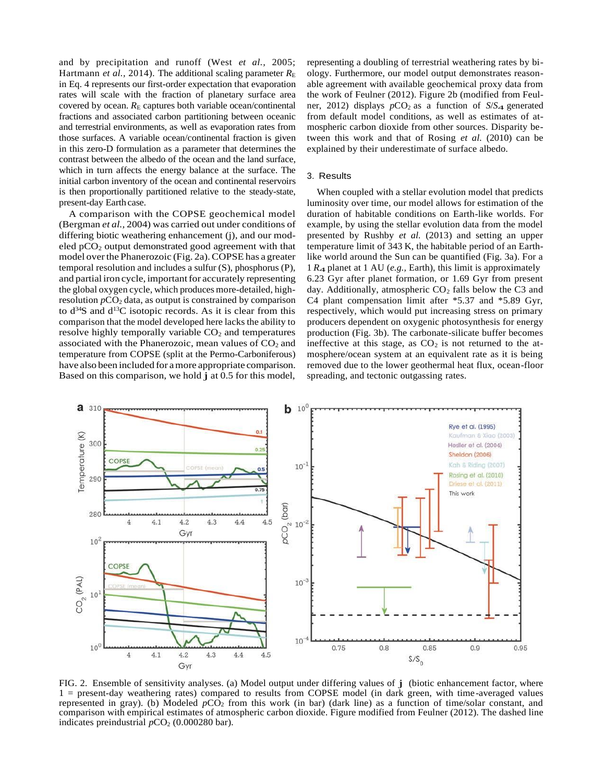and by precipitation and runoff (West *et al.,* 2005; Hartmann *et al.*, 2014). The additional scaling parameter  $R<sub>E</sub>$ in Eq. 4 represents our first-order expectation that evaporation rates will scale with the fraction of planetary surface area covered by ocean.  $R<sub>E</sub>$  captures both variable ocean/continental fractions and associated carbon partitioning between oceanic and terrestrial environments, as well as evaporation rates from those surfaces. A variable ocean/continental fraction is given in this zero-D formulation as a parameter that determines the contrast between the albedo of the ocean and the land surface, which in turn affects the energy balance at the surface. The initial carbon inventory of the ocean and continental reservoirs is then proportionally partitioned relative to the steady-state, present-day Earth case.

A comparison with the COPSE geochemical model (Bergman *et al.,* 2004) was carried out under conditions of differing biotic weathering enhancement (j), and our modeled pCO<sub>2</sub> output demonstrated good agreement with that model over the Phanerozoic (Fig. 2a). COPSE has a greater temporal resolution and includes a sulfur (S), phosphorus (P), and partial iron cycle, important for accurately representing the global oxygen cycle, which produces more-detailed, highresolution  $pCO<sub>2</sub>$  data, as output is constrained by comparison to  $d^{34}S$  and  $d^{13}C$  isotopic records. As it is clear from this comparison that the model developed here lacks the ability to resolve highly temporally variable  $CO<sub>2</sub>$  and temperatures associated with the Phanerozoic, mean values of  $CO<sub>2</sub>$  and temperature from COPSE (split at the Permo-Carboniferous) have also been included for amore appropriate comparison. Based on this comparison, we hold j at 0.5 for this model,

representing a doubling of terrestrial weathering rates by biology. Furthermore, our model output demonstrates reasonable agreement with available geochemical proxy data from the work of Feulner (2012). Figure 2b (modified from Feulner, 2012) displays  $pCO_2$  as a function of  $S/S<sub>4</sub>$  generated from default model conditions, as well as estimates of atmospheric carbon dioxide from other sources. Disparity between this work and that of Rosing *et al.* (2010) can be explained by their underestimate of surface albedo.

## 3. Results

When coupled with a stellar evolution model that predicts luminosity over time, our model allows for estimation of the duration of habitable conditions on Earth-like worlds. For example, by using the stellar evolution data from the model presented by Rushby *et al.* (2013) and setting an upper temperature limit of 343 K, the habitable period of an Earthlike world around the Sun can be quantified (Fig. 3a). For a 1 *R*4 planet at 1 AU (*e.g.,* Earth), this limit is approximately 6.23 Gyr after planet formation, or 1.69 Gyr from present day. Additionally, atmospheric  $CO<sub>2</sub>$  falls below the C3 and C4 plant compensation limit after \*5.37 and \*5.89 Gyr, respectively, which would put increasing stress on primary producers dependent on oxygenic photosynthesis for energy production (Fig. 3b). The carbonate-silicate buffer becomes ineffective at this stage, as  $CO<sub>2</sub>$  is not returned to the atmosphere/ocean system at an equivalent rate as it is being removed due to the lower geothermal heat flux, ocean-floor spreading, and tectonic outgassing rates.



FIG. 2. Ensemble of sensitivity analyses. (a) Model output under differing values of j (biotic enhancement factor, where 1 = present-day weathering rates) compared to results from COPSE model (in dark green, with time-averaged values represented in gray). (b) Modeled  $pCO<sub>2</sub>$  from this work (in bar) (dark line) as a function of time/solar constant, and comparison with empirical estimates of atmospheric carbon dioxide. Figure modified from Feulner (2012). The dashed line indicates preindustrial  $pCO<sub>2</sub>$  (0.000280 bar).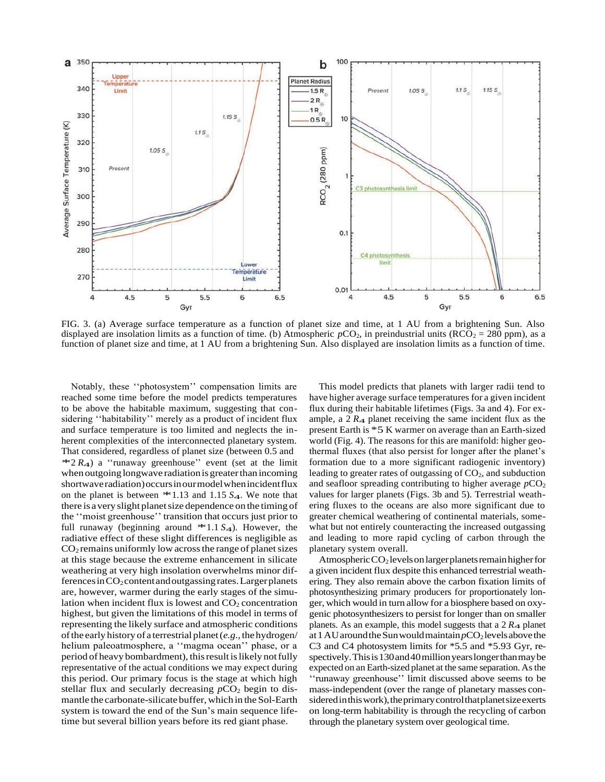

FIG. 3. (a) Average surface temperature as a function of planet size and time, at 1 AU from a brightening Sun. Also displayed are insolation limits as a function of time. (b) Atmospheric  $pCO_2$ , in preindustrial units  $(RCO_2 = 280$  ppm), as a function of planet size and time, at 1 AU from a brightening Sun. Also displayed are insolation limits as a function of time.

Notably, these ''photosystem'' compensation limits are reached some time before the model predicts temperatures to be above the habitable maximum, suggesting that considering ''habitability'' merely as a product of incident flux and surface temperature is too limited and neglects the inherent complexities of the interconnected planetary system. That considered, regardless of planet size (between 0.5 and  $*2 R_4$ ) a "runaway greenhouse" event (set at the limit when outgoing longwave radiation is greater than incoming shortwaveradiation) occurs in our model when incident flux on the planet is between  $*1.13$  and 1.15  $S<sub>4</sub>$ . We note that there is avery slight planetsize dependence on the timing of the ''moist greenhouse'' transition that occurs just prior to full runaway (beginning around  $*1.1 S<sub>4</sub>$ ). However, the radiative effect of these slight differences is negligible as  $CO<sub>2</sub>$  remains uniformly low across the range of planet sizes at this stage because the extreme enhancement in silicate weathering at very high insolation overwhelms minor differences in CO<sub>2</sub> content and outgassing rates. Larger planets are, however, warmer during the early stages of the simulation when incident flux is lowest and  $CO<sub>2</sub>$  concentration highest, but given the limitations of this model in terms of representing the likely surface and atmospheric conditions ofthe early history of a terrestrial planet(*e.g.,*thehydrogen/ helium paleoatmosphere, a ''magma ocean'' phase, or a period of heavy bombardment), thisresult islikely notfully representative of the actual conditions we may expect during this period. Our primary focus is the stage at which high stellar flux and secularly decreasing  $pCO<sub>2</sub>$  begin to dismantle the carbonate-silicate buffer, which in the Sol-Earth system is toward the end of the Sun's main sequence lifetime but several billion years before its red giant phase.

This model predicts that planets with larger radii tend to have higher average surface temperatures for a given incident flux during their habitable lifetimes (Figs. 3a and 4). For example, a  $2 R<sub>4</sub>$  planet receiving the same incident flux as the present Earth is \*5 K warmer on average than an Earth-sized world (Fig. 4). The reasons for this are manifold: higher geothermal fluxes (that also persist for longer after the planet's formation due to a more significant radiogenic inventory) leading to greater rates of outgassing of  $CO<sub>2</sub>$ , and subduction and seafloor spreading contributing to higher average  $pCO<sub>2</sub>$ values for larger planets (Figs. 3b and 5). Terrestrial weathering fluxes to the oceans are also more significant due to greater chemical weathering of continental materials, somewhat but not entirely counteracting the increased outgassing and leading to more rapid cycling of carbon through the planetary system overall.

Atmospheric  $CO<sub>2</sub>$  levels on larger planets remain higher for a given incident flux despite this enhanced terrestrial weathering. They also remain above the carbon fixation limits of photosynthesizing primary producers for proportionately longer, which would in turn allow for a biosphere based on oxygenic photosynthesizers to persist for longer than on smaller planets. As an example, this model suggests that a  $2 R<sub>4</sub>$  planet at 1 AU around the Sun would maintain  $pCO<sub>2</sub>$  levels above the C3 and C4 photosystem limits for \*5.5 and \*5.93 Gyr, respectively. This is 130 and 40 million years longer than may be expected on an Earth-sized planet at the same separation. As the ''runaway greenhouse'' limit discussed above seems to be mass-independent (over the range of planetary masses considered in this work), the primary control that planet size exerts on long-term habitability is through the recycling of carbon through the planetary system over geological time.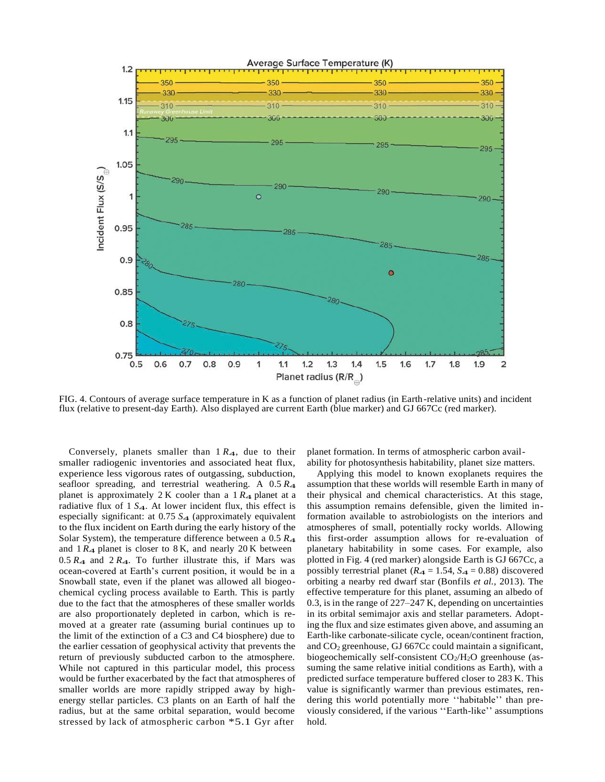

FIG. 4. Contours of average surface temperature in K as a function of planet radius (in Earth-relative units) and incident flux (relative to present-day Earth). Also displayed are current Earth (blue marker) and GJ 667Cc (red marker).

Conversely, planets smaller than  $1 R<sub>4</sub>$ , due to their smaller radiogenic inventories and associated heat flux, experience less vigorous rates of outgassing, subduction, seafloor spreading, and terrestrial weathering. A 0.5 *R*4 planet is approximately 2 K cooler than a  $1 R<sub>4</sub>$  planet at a radiative flux of 1 *S*4. At lower incident flux, this effect is especially significant: at 0.75 *S*4 (approximately equivalent to the flux incident on Earth during the early history of the Solar System), the temperature difference between a 0.5 *R*4 and  $1 R<sub>4</sub>$  planet is closer to 8 K, and nearly 20 K between  $0.5 R<sub>4</sub>$  and  $2 R<sub>4</sub>$ . To further illustrate this, if Mars was ocean-covered at Earth's current position, it would be in a Snowball state, even if the planet was allowed all biogeochemical cycling process available to Earth. This is partly due to the fact that the atmospheres of these smaller worlds are also proportionately depleted in carbon, which is removed at a greater rate (assuming burial continues up to the limit of the extinction of a C3 and C4 biosphere) due to the earlier cessation of geophysical activity that prevents the return of previously subducted carbon to the atmosphere. While not captured in this particular model, this process would be further exacerbated by the fact that atmospheres of smaller worlds are more rapidly stripped away by highenergy stellar particles. C3 plants on an Earth of half the radius, but at the same orbital separation, would become stressed by lack of atmospheric carbon \*5.1 Gyr after

planet formation. In terms of atmospheric carbon availability for photosynthesis habitability, planet size matters.

Applying this model to known exoplanets requires the assumption that these worlds will resemble Earth in many of their physical and chemical characteristics. At this stage, this assumption remains defensible, given the limited information available to astrobiologists on the interiors and atmospheres of small, potentially rocky worlds. Allowing this first-order assumption allows for re-evaluation of planetary habitability in some cases. For example, also plotted in Fig. 4 (red marker) alongside Earth is GJ 667Cc, a possibly terrestrial planet ( $R_4$  = 1.54,  $S_4$  = 0.88) discovered orbiting a nearby red dwarf star (Bonfils *et al.,* 2013). The effective temperature for this planet, assuming an albedo of 0.3, is in the range of 227–247 K, depending on uncertainties in its orbital semimajor axis and stellar parameters. Adopting the flux and size estimates given above, and assuming an Earth-like carbonate-silicate cycle, ocean/continent fraction, and CO<sup>2</sup> greenhouse, GJ 667Cc could maintain a significant, biogeochemically self-consistent  $CO<sub>2</sub>/H<sub>2</sub>O$  greenhouse (assuming the same relative initial conditions as Earth), with a predicted surface temperature buffered closer to 283 K. This value is significantly warmer than previous estimates, rendering this world potentially more ''habitable'' than previously considered, if the various ''Earth-like'' assumptions hold.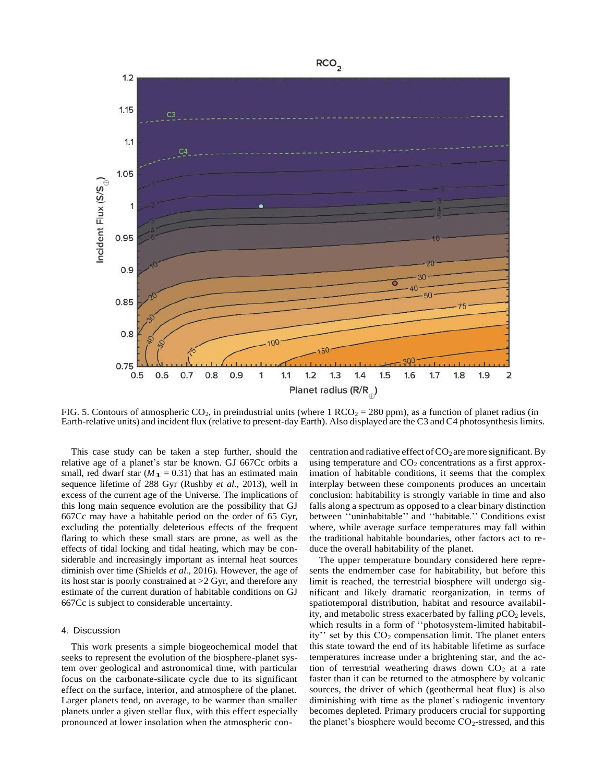

FIG. 5. Contours of atmospheric CO<sub>2</sub>, in preindustrial units (where 1 RCO<sub>2</sub> = 280 ppm), as a function of planet radius (in Earth-relative units) and incident flux (relative to present-day Earth). Also displayed are the C3 and C4 photosynthesis limits.

This case study can be taken a step further, should the relative age of a planet's star be known. GJ 667Cc orbits a small, red dwarf star  $(M_1 = 0.31)$  that has an estimated main sequence lifetime of 288 Gyr (Rushby *et al.,* 2013), well in excess of the current age of the Universe. The implications of this long main sequence evolution are the possibility that GJ 667Cc may have a habitable period on the order of 65 Gyr, excluding the potentially deleterious effects of the frequent flaring to which these small stars are prone, as well as the effects of tidal locking and tidal heating, which may be considerable and increasingly important as internal heat sources diminish over time (Shields *et al.,* 2016). However, the age of its host star is poorly constrained at >2 Gyr, and therefore any estimate of the current duration of habitable conditions on GJ 667Cc is subject to considerable uncertainty.

## 4. Discussion

This work presents a simple biogeochemical model that seeks to represent the evolution of the biosphere-planet system over geological and astronomical time, with particular focus on the carbonate-silicate cycle due to its significant effect on the surface, interior, and atmosphere of the planet. Larger planets tend, on average, to be warmer than smaller planets under a given stellar flux, with this effect especially pronounced at lower insolation when the atmospheric concentration and radiative effect of  $CO<sub>2</sub>$  are more significant. By using temperature and  $CO<sub>2</sub>$  concentrations as a first approximation of habitable conditions, it seems that the complex interplay between these components produces an uncertain conclusion: habitability is strongly variable in time and also falls along a spectrum as opposed to a clear binary distinction between ''uninhabitable'' and ''habitable.'' Conditions exist where, while average surface temperatures may fall within the traditional habitable boundaries, other factors act to reduce the overall habitability of the planet.

The upper temperature boundary considered here represents the endmember case for habitability, but before this limit is reached, the terrestrial biosphere will undergo significant and likely dramatic reorganization, in terms of spatiotemporal distribution, habitat and resource availability, and metabolic stress exacerbated by falling  $pCO<sub>2</sub>$  levels, which results in a form of ''photosystem-limited habitability" set by this  $CO<sub>2</sub>$  compensation limit. The planet enters this state toward the end of its habitable lifetime as surface temperatures increase under a brightening star, and the action of terrestrial weathering draws down  $CO<sub>2</sub>$  at a rate faster than it can be returned to the atmosphere by volcanic sources, the driver of which (geothermal heat flux) is also diminishing with time as the planet's radiogenic inventory becomes depleted. Primary producers crucial for supporting the planet's biosphere would become  $CO_2$ -stressed, and this

 $RCO<sub>2</sub>$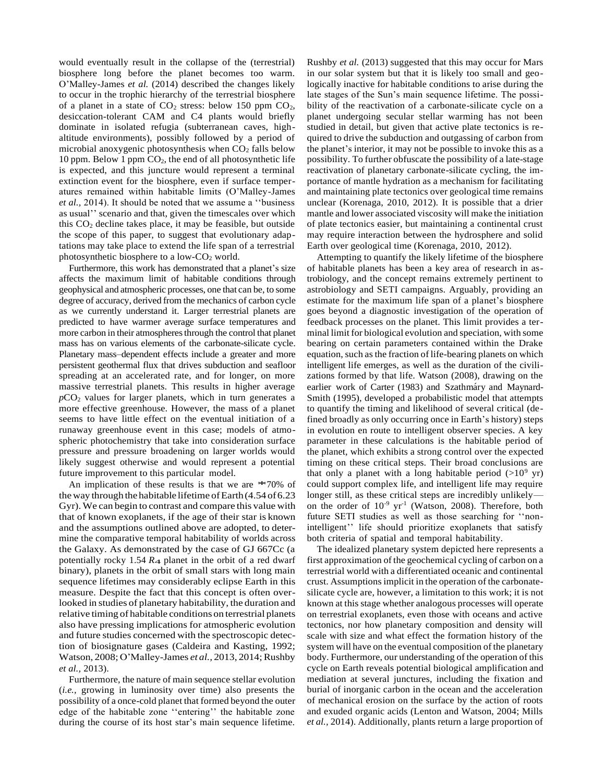would eventually result in the collapse of the (terrestrial) biosphere long before the planet becomes too warm. O'Malley-James *et al.* (2014) described the changes likely to occur in the trophic hierarchy of the terrestrial biosphere of a planet in a state of  $CO<sub>2</sub>$  stress: below 150 ppm  $CO<sub>2</sub>$ , desiccation-tolerant CAM and C4 plants would briefly dominate in isolated refugia (subterranean caves, highaltitude environments), possibly followed by a period of microbial anoxygenic photosynthesis when  $CO<sub>2</sub>$  falls below 10 ppm. Below 1 ppm  $CO<sub>2</sub>$ , the end of all photosynthetic life is expected, and this juncture would represent a terminal extinction event for the biosphere, even if surface temperatures remained within habitable limits (O'Malley-James *et al.,* 2014). It should be noted that we assume a ''business as usual'' scenario and that, given the timescales over which this  $CO<sub>2</sub>$  decline takes place, it may be feasible, but outside the scope of this paper, to suggest that evolutionary adaptations may take place to extend the life span of a terrestrial photosynthetic biosphere to a low- $CO<sub>2</sub>$  world.

Furthermore, this work has demonstrated that a planet's size affects the maximum limit of habitable conditions through geophysical and atmospheric processes, one that can be, to some degree of accuracy, derived from the mechanics of carbon cycle as we currently understand it. Larger terrestrial planets are predicted to have warmer average surface temperatures and more carbon in their atmospheres through the control that planet mass has on various elements of the carbonate-silicate cycle. Planetary mass–dependent effects include a greater and more persistent geothermal flux that drives subduction and seafloor spreading at an accelerated rate, and for longer, on more massive terrestrial planets. This results in higher average  $pCO<sub>2</sub>$  values for larger planets, which in turn generates a more effective greenhouse. However, the mass of a planet seems to have little effect on the eventual initiation of a runaway greenhouse event in this case; models of atmospheric photochemistry that take into consideration surface pressure and pressure broadening on larger worlds would likely suggest otherwise and would represent a potential future improvement to this particular model.

An implication of these results is that we are  $*70\%$  of the way through the habitable lifetime of Earth  $(4.54$  of  $6.23$ Gyr). We can begin to contrast and compare this value with that of known exoplanets, if the age of their star is known and the assumptions outlined above are adopted, to determine the comparative temporal habitability of worlds across the Galaxy. As demonstrated by the case of GJ 667Cc (a potentially rocky 1.54  $R<sub>4</sub>$  planet in the orbit of a red dwarf binary), planets in the orbit of small stars with long main sequence lifetimes may considerably eclipse Earth in this measure. Despite the fact that this concept is often overlooked in studies of planetary habitability, the duration and relative timing of habitable conditions on terrestrial planets also have pressing implications for atmospheric evolution and future studies concerned with the spectroscopic detection of biosignature gases (Caldeira and Kasting, 1992; Watson, 2008; O'Malley-James *et al.*, 2013, 2014; Rushby *et al.,* 2013).

Furthermore, the nature of main sequence stellar evolution (*i.e.,* growing in luminosity over time) also presents the possibility of a once-cold planet that formed beyond the outer edge of the habitable zone ''entering'' the habitable zone during the course of its host star's main sequence lifetime.

Rushby *et al.* (2013) suggested that this may occur for Mars in our solar system but that it is likely too small and geologically inactive for habitable conditions to arise during the late stages of the Sun's main sequence lifetime. The possibility of the reactivation of a carbonate-silicate cycle on a planet undergoing secular stellar warming has not been studied in detail, but given that active plate tectonics is required to drive the subduction and outgassing of carbon from the planet's interior, it may not be possible to invoke this as a possibility. To further obfuscate the possibility of a late-stage reactivation of planetary carbonate-silicate cycling, the importance of mantle hydration as a mechanism for facilitating and maintaining plate tectonics over geological time remains unclear (Korenaga, 2010, 2012). It is possible that a drier mantle and lower associated viscosity will make the initiation of plate tectonics easier, but maintaining a continental crust may require interaction between the hydrosphere and solid Earth over geological time (Korenaga, 2010, 2012).

Attempting to quantify the likely lifetime of the biosphere of habitable planets has been a key area of research in astrobiology, and the concept remains extremely pertinent to astrobiology and SETI campaigns. Arguably, providing an estimate for the maximum life span of a planet's biosphere goes beyond a diagnostic investigation of the operation of feedback processes on the planet. This limit provides a terminal limit for biological evolution and speciation, with some bearing on certain parameters contained within the Drake equation, such asthe fraction of life-bearing planets on which intelligent life emerges, as well as the duration of the civilizations formed by that life. Watson (2008), drawing on the earlier work of Carter (1983) and Szathmáry and Maynard-Smith (1995), developed a probabilistic model that attempts to quantify the timing and likelihood of several critical (defined broadly as only occurring once in Earth's history) steps in evolution en route to intelligent observer species. A key parameter in these calculations is the habitable period of the planet, which exhibits a strong control over the expected timing on these critical steps. Their broad conclusions are that only a planet with a long habitable period  $(>10^9$  yr) could support complex life, and intelligent life may require longer still, as these critical steps are incredibly unlikely on the order of  $10^{-9}$  yr<sup>-1</sup> (Watson, 2008). Therefore, both future SETI studies as well as those searching for ''nonintelligent'' life should prioritize exoplanets that satisfy both criteria of spatial and temporal habitability.

The idealized planetary system depicted here represents a first approximation of the geochemical cycling of carbon on a terrestrial world with a differentiated oceanic and continental crust. Assumptions implicit in the operation of the carbonatesilicate cycle are, however, a limitation to this work; it is not known at this stage whether analogous processes will operate on terrestrial exoplanets, even those with oceans and active tectonics, nor how planetary composition and density will scale with size and what effect the formation history of the system will have on the eventual composition of the planetary body. Furthermore, our understanding of the operation of this cycle on Earth reveals potential biological amplification and mediation at several junctures, including the fixation and burial of inorganic carbon in the ocean and the acceleration of mechanical erosion on the surface by the action of roots and exuded organic acids (Lenton and Watson, 2004; Mills *et al.,* 2014). Additionally, plants return a large proportion of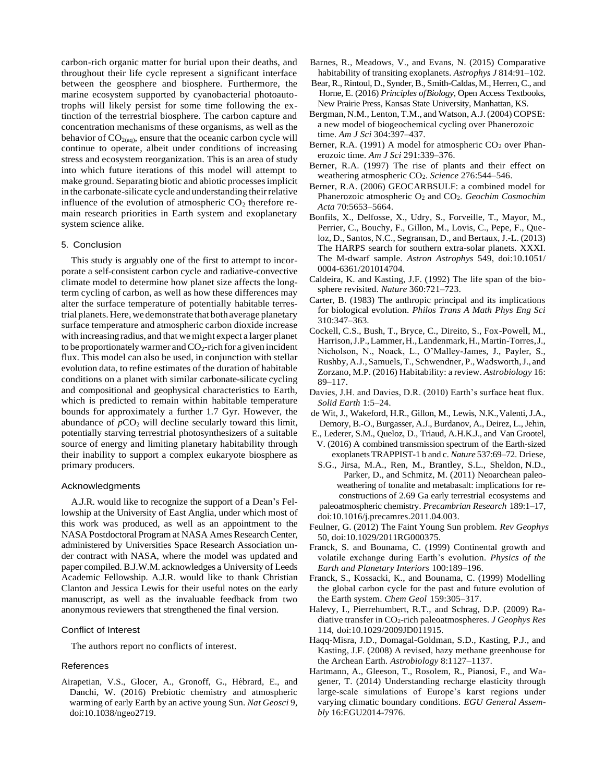carbon-rich organic matter for burial upon their deaths, and throughout their life cycle represent a significant interface between the geosphere and biosphere. Furthermore, the marine ecosystem supported by cyanobacterial photoautotrophs will likely persist for some time following the extinction of the terrestrial biosphere. The carbon capture and concentration mechanisms of these organisms, as well as the behavior of  $CO<sub>2(aq)</sub>$ , ensure that the oceanic carbon cycle will continue to operate, albeit under conditions of increasing stress and ecosystem reorganization. This is an area of study into which future iterations of this model will attempt to make ground. Separating biotic and abiotic processesimplicit in the carbonate-silicate cycle and understanding theirrelative influence of the evolution of atmospheric  $CO<sub>2</sub>$  therefore remain research priorities in Earth system and exoplanetary system science alike.

#### 5. Conclusion

This study is arguably one of the first to attempt to incorporate a self-consistent carbon cycle and radiative-convective climate model to determine how planet size affects the longterm cycling of carbon, as well as how these differences may alter the surface temperature of potentially habitable terrestrial planets. Here, we demonstrate that both average planetary surface temperature and atmospheric carbon dioxide increase with increasing radius, and that we might expect a larger planet to be proportionately warmer and  $CO_2$ -rich for a given incident flux. This model can also be used, in conjunction with stellar evolution data, to refine estimates of the duration of habitable conditions on a planet with similar carbonate-silicate cycling and compositional and geophysical characteristics to Earth, which is predicted to remain within habitable temperature bounds for approximately a further 1.7 Gyr. However, the abundance of  $pCO<sub>2</sub>$  will decline secularly toward this limit, potentially starving terrestrial photosynthesizers of a suitable source of energy and limiting planetary habitability through their inability to support a complex eukaryote biosphere as primary producers.

## Acknowledgments

A.J.R. would like to recognize the support of a Dean's Fellowship at the University of East Anglia, under which most of this work was produced, as well as an appointment to the NASA Postdoctoral Program at NASA Ames Research Center, administered by Universities Space Research Association under contract with NASA, where the model was updated and paper compiled. B.J.W.M. acknowledges a University of Leeds Academic Fellowship. A.J.R. would like to thank Christian Clanton and Jessica Lewis for their useful notes on the early manuscript, as well as the invaluable feedback from two anonymous reviewers that strengthened the final version.

## Conflict of Interest

The authors report no conflicts of interest.

#### References

Airapetian, V.S., Glocer, A., Gronoff, G., Hébrard, E., and Danchi, W. (2016) Prebiotic chemistry and atmospheric warming of early Earth by an active young Sun. *Nat Geosci* 9, doi:10.1038/ngeo2719.

- Barnes, R., Meadows, V., and Evans, N. (2015) Comparative habitability of transiting exoplanets. *Astrophys J* 814:91–102.
- Bear, R., Rintoul, D., Synder, B., Smith-Caldas, M., Herren, C., and Horne, E. (2016) *Principles ofBiology,* Open Access Textbooks, New Prairie Press, Kansas State University, Manhattan, KS.
- Bergman, N.M., Lenton, T.M., and Watson, A.J. (2004) COPSE: a new model of biogeochemical cycling over Phanerozoic time. *Am J Sci* 304:397–437.
- Berner, R.A. (1991) A model for atmospheric CO<sub>2</sub> over Phanerozoic time. *Am J Sci* 291:339–376.
- Berner, R.A. (1997) The rise of plants and their effect on weathering atmospheric CO2. *Science* 276:544–546.
- Berner, R.A. (2006) GEOCARBSULF: a combined model for Phanerozoic atmospheric O<sub>2</sub> and CO<sub>2</sub>. *Geochim Cosmochim Acta* 70:5653–5664.
- Bonfils, X., Delfosse, X., Udry, S., Forveille, T., Mayor, M., Perrier, C., Bouchy, F., Gillon, M., Lovis, C., Pepe, F., Queloz, D., Santos, N.C., Segransan, D., and Bertaux, J.-L. (2013) The HARPS search for southern extra-solar planets. XXXI. The M-dwarf sample. *Astron Astrophys* 549, doi:10.1051/ 0004-6361/201014704.
- Caldeira, K. and Kasting, J.F. (1992) The life span of the biosphere revisited. *Nature* 360:721–723.
- Carter, B. (1983) The anthropic principal and its implications for biological evolution. *Philos Trans A Math Phys Eng Sci*  310:347–363.
- Cockell, C.S., Bush, T., Bryce, C., Direito, S., Fox-Powell, M., Harrison,J.P.,Lammer,H.,Landenmark,H.,Martin-Torres,J., Nicholson, N., Noack, L., O'Malley-James, J., Payler, S., Rushby,A.J., Samuels,T.,Schwendner, P.,Wadsworth,J., and Zorzano, M.P. (2016) Habitability: a review. *Astrobiology* 16: 89–117.
- Davies, J.H. and Davies, D.R. (2010) Earth's surface heat flux. *Solid Earth* 1:5–24.
- de Wit, J., Wakeford, H.R., Gillon, M., Lewis, N.K.,Valenti, J.A., Demory, B.-O., Burgasser, A.J., Burdanov, A., Deirez, L., Jehin,
- E., Lederer, S.M., Queloz, D., Triaud, A.H.K.J., and Van Grootel, V. (2016) A combined transmission spectrum of the Earth-sized exoplanets TRAPPIST-1 b and c. *Nature* 537:69–72. Driese,
- S.G., Jirsa, M.A., Ren, M., Brantley, S.L., Sheldon, N.D., Parker, D., and Schmitz, M. (2011) Neoarchean paleoweathering of tonalite and metabasalt: implications for reconstructions of 2.69 Ga early terrestrial ecosystems and paleoatmospheric chemistry. *Precambrian Research* 189:1–17, doi:10.1016/j.precamres.2011.04.003.
- Feulner, G. (2012) The Faint Young Sun problem. *Rev Geophys* 50, doi:10.1029/2011RG000375.
- Franck, S. and Bounama, C. (1999) Continental growth and volatile exchange during Earth's evolution. *Physics of the Earth and Planetary Interiors* 100:189–196.
- Franck, S., Kossacki, K., and Bounama, C. (1999) Modelling the global carbon cycle for the past and future evolution of the Earth system. *Chem Geol* 159:305–317.
- Halevy, I., Pierrehumbert, R.T., and Schrag, D.P. (2009) Radiative transfer in CO2-rich paleoatmospheres. *J Geophys Res*  114, doi:10.1029/2009JD011915.
- Haqq-Misra, J.D., Domagal-Goldman, S.D., Kasting, P.J., and Kasting, J.F. (2008) A revised, hazy methane greenhouse for the Archean Earth. *Astrobiology* 8:1127–1137.
- Hartmann, A., Gleeson, T., Rosolem, R., Pianosi, F., and Wagener, T. (2014) Understanding recharge elasticity through large-scale simulations of Europe's karst regions under varying climatic boundary conditions. *EGU General Assembly* 16:EGU2014-7976.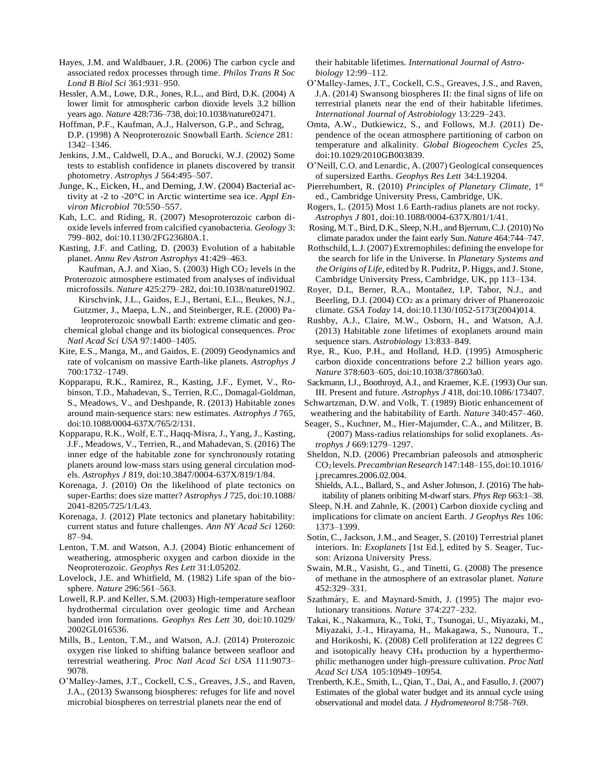Hayes, J.M. and Waldbauer, J.R. (2006) The carbon cycle and associated redox processes through time. *Philos Trans R Soc Lond B Biol Sci* 361:931–950.

Hessler, A.M., Lowe, D.R., Jones, R.L., and Bird, D.K. (2004) A lower limit for atmospheric carbon dioxide levels 3.2 billion years ago. *Nature* 428:736–738, doi:10.1038/nature02471.

Hoffman, P.F., Kaufman, A.J., Halverson, G.P., and Schrag, D.P. (1998) A Neoproterozoic Snowball Earth. *Science* 281: 1342–1346.

Jenkins, J.M., Caldwell, D.A., and Borucki, W.J. (2002) Some tests to establish confidence in planets discovered by transit photometry. *Astrophys J* 564:495–507.

Junge, K., Eicken, H., and Deming, J.W. (2004) Bacterial activity at -2 to -20°C in Arctic wintertime sea ice. *Appl Environ Microbiol* 70:550–557.

Kah, L.C. and Riding, R. (2007) Mesoproterozoic carbon dioxide levels inferred from calcified cyanobacteria. *Geology* 3: 799–802, doi:10.1130/2FG23680A.1.

Kasting, J.F. and Catling, D. (2003) Evolution of a habitable planet. *Annu Rev Astron Astrophys* 41:429–463.

Kaufman, A.J. and Xiao, S.  $(2003)$  High  $CO<sub>2</sub>$  levels in the Proterozoic atmosphere estimated from analyses of individual microfossils. *Nature* 425:279–282, doi:10.1038/nature01902.

Kirschvink, J.L., Gaidos, E.J., Bertani, E.L., Beukes, N.J., Gutzmer, J., Maepa, L.N., and Steinberger, R.E. (2000) Paleoproterozoic snowball Earth: extreme climatic and geochemical global change and its biological consequences. *Proc Natl Acad Sci USA* 97:1400–1405.

Kite, E.S., Manga, M., and Gaidos, E. (2009) Geodynamics and rate of volcanism on massive Earth-like planets. *Astrophys J*  700:1732–1749.

Kopparapu, R.K., Ramirez, R., Kasting, J.F., Eymet, V., Robinson, T.D., Mahadevan, S., Terrien, R.C., Domagal-Goldman, S., Meadows, V., and Deshpande, R. (2013) Habitable zones around main-sequence stars: new estimates. *Astrophys J* 765, doi:10.1088/0004-637X/765/2/131.

Kopparapu, R.K., Wolf, E.T., Haqq-Misra, J., Yang, J., Kasting, J.F., Meadows, V., Terrien, R., and Mahadevan, S. (2016) The inner edge of the habitable zone for synchronously rotating planets around low-mass stars using general circulation models. *Astrophys J* 819, doi:10.3847/0004-637X/819/1/84.

Korenaga, J. (2010) On the likelihood of plate tectonics on super-Earths: does size matter? *Astrophys J* 725, doi:10.1088/ 2041-8205/725/1/L43.

Korenaga, J. (2012) Plate tectonics and planetary habitability: current status and future challenges. *Ann NY Acad Sci* 1260: 87–94.

Lenton, T.M. and Watson, A.J. (2004) Biotic enhancement of weathering, atmospheric oxygen and carbon dioxide in the Neoproterozoic. *Geophys Res Lett* 31:L05202.

Lovelock, J.E. and Whitfield, M. (1982) Life span of the biosphere. *Nature* 296:561–563.

Lowell, R.P. and Keller, S.M. (2003) High-temperature seafloor hydrothermal circulation over geologic time and Archean banded iron formations. *Geophys Res Lett* 30, doi:10.1029/ 2002GL016536.

Mills, B., Lenton, T.M., and Watson, A.J. (2014) Proterozoic oxygen rise linked to shifting balance between seafloor and terrestrial weathering. *Proc Natl Acad Sci USA* 111:9073– 9078.

O'Malley-James, J.T., Cockell, C.S., Greaves, J.S., and Raven, J.A., (2013) Swansong biospheres: refuges for life and novel microbial biospheres on terrestrial planets near the end of

their habitable lifetimes. *International Journal of Astrobiology* 12:99–112.

O'Malley-James, J.T., Cockell, C.S., Greaves, J.S., and Raven, J.A. (2014) Swansong biospheres II: the final signs of life on terrestrial planets near the end of their habitable lifetimes. *International Journal of Astrobiology* 13:229–243.

Omta, A.W., Dutkiewicz, S., and Follows, M.J. (2011) Dependence of the ocean atmosphere partitioning of carbon on temperature and alkalinity. *Global Biogeochem Cycles* 25, doi:10.1029/2010GB003839.

O'Neill, C.O. and Lenardic, A. (2007) Geological consequences of supersized Earths. *Geophys Res Lett* 34:L19204.

Pierrehumbert, R. (2010) *Principles of Planetary Climate,* 1 st ed., Cambridge University Press, Cambridge, UK.

Rogers, L. (2015) Most 1.6 Earth-radius planets are not rocky. *Astrophys J* 801, doi:10.1088/0004-637X/801/1/41.

Rosing,M.T.,Bird,D.K., Sleep, N.H., and Bjerrum,C.J.(2010) No climate paradox under the faint early Sun.*Nature* 464:744–747.

Rothschild, L.J.(2007) Extremophiles: defining the envelope for the search for life in the Universe. In *Planetary Systems and the Origins of Life,* edited by R. Pudritz, P. Higgs, and J. Stone, Cambridge University Press, Cambridge, UK, pp 113–134.

Royer, D.L, Berner, R.A., Montañez, I.P, Tabor, N.J., and Beerling, D.J. (2004)  $CO<sub>2</sub>$  as a primary driver of Phanerozoic climate. *GSA Today* 14, doi:10.1130/1052-5173(2004)014.

Rushby, A.J., Claire, M.W., Osborn, H., and Watson, A.J. (2013) Habitable zone lifetimes of exoplanets around main sequence stars. *Astrobiology* 13:833–849.

Rye, R., Kuo, P.H., and Holland, H.D. (1995) Atmospheric carbon dioxide concentrations before 2.2 billion years ago. *Nature* 378:603–605, doi:10.1038/378603a0.

Sackmann, I.J., Boothroyd, A.I., and Kraemer, K.E. (1993) Our sun. III. Present and future. *Astrophys J* 418, doi:10.1086/173407.

Schwartzman, D.W. and Volk, T. (1989) Biotic enhancement of weathering and the habitability of Earth. *Nature* 340:457–460.

Seager, S., Kuchner, M., Hier-Majumder, C.A., and Militzer, B. (2007) Mass-radius relationships for solid exoplanets. *Astrophys J* 669:1279–1297.

Sheldon, N.D. (2006) Precambrian paleosols and atmospheric CO<sup>2</sup> levels.*PrecambrianResearch*147:148–155,doi:10.1016/ j.precamres.2006.02.004.

Shields, A.L., Ballard, S., and Asher Johnson, J. (2016) The habitability of planets oribiting M-dwarf stars. *Phys Rep* 663:1–38.

Sleep, N.H. and Zahnle, K. (2001) Carbon dioxide cycling and implications for climate on ancient Earth. *J Geophys Res* 106: 1373–1399.

Sotin, C., Jackson, J.M., and Seager, S. (2010) Terrestrial planet interiors. In: *Exoplanets* [1st Ed.], edited by S. Seager, Tucson: Arizona University Press.

Swain, M.R., Vasisht, G., and Tinetti, G. (2008) The presence of methane in the atmosphere of an extrasolar planet. *Nature*  452:329–331.

Szathmáry, E. and Maynard-Smith, J. (1995) The major evolutionary transitions. *Nature* 374:227–232.

Takai, K., Nakamura, K., Toki, T., Tsunogai, U., Miyazaki, M., Miyazaki, J.-I., Hirayama, H., Makagawa, S., Nunoura, T., and Horikoshi, K. (2008) Cell proliferation at 122 degrees C and isotopically heavy CH<sup>4</sup> production by a hyperthermophilic methanogen under high-pressure cultivation. *Proc Natl Acad Sci USA* 105:10949–10954.

Trenberth, K.E., Smith, L., Qian, T., Dai, A., and Fasullo,J. (2007) Estimates of the global water budget and its annual cycle using observational and model data. *J Hydrometeorol* 8:758–769.